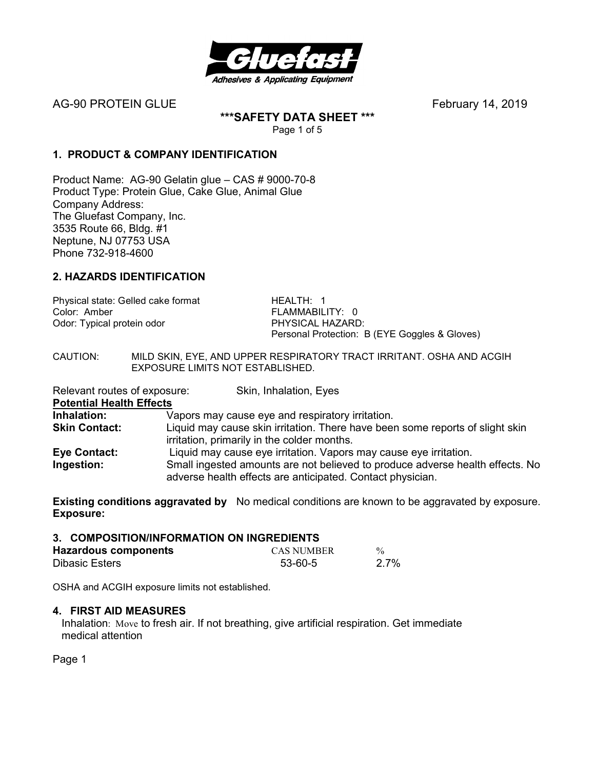

AG-90 PROTEIN GLUEFebruary 14, 2019

**\*\*\*SAFETY DATA SHEET \*\*\***  Page 1 of 5

**1. PRODUCT & COMPANY IDENTIFICATION**

Product Name: AG-90 Gelatin glue – CAS # 9000-70-8 Product Type: Protein Glue, Cake Glue, Animal Glue Company Address: The Gluefast Company, Inc. 3535 Route 66, Bldg. #1 Neptune, NJ 07753 USA Phone 732-918-4600

### **2. HAZARDS IDENTIFICATION**

Physical state: Gelled cake format **HEALTH: 1**<br>Color: Amber **Health** Color: Amber Odor: Typical protein odor PHYSICAL HAZARD:

FLAMMABILITY: 0 Personal Protection: B (EYE Goggles & Gloves)

CAUTION: MILD SKIN, EYE, AND UPPER RESPIRATORY TRACT IRRITANT. OSHA AND ACGIH EXPOSURE LIMITS NOT ESTABLISHED.

Relevant routes of exposure: Skin, Inhalation, Eyes

**Potential Health Effects** 

**Inhalation:** Vapors may cause eye and respiratory irritation.<br> **Skin Contact:** Liquid may cause skin irritation. There have been Liquid may cause skin irritation. There have been some reports of slight skin

irritation, primarily in the colder months. **Eye Contact:** Liquid may cause eye irritation. Vapors may cause eye irritation.

**Ingestion:** Small ingested amounts are not believed to produce adverse health effects. No adverse health effects are anticipated. Contact physician.

**Existing conditions aggravated by** No medical conditions are known to be aggravated by exposure. **Exposure:** 

| 3. COMPOSITION/INFORMATION ON INGREDIENTS |            |               |
|-------------------------------------------|------------|---------------|
| <b>Hazardous components</b>               | CAS NUMBER | $\frac{0}{0}$ |
| <b>Dibasic Esters</b>                     | 53-60-5    | $2.7\%$       |

OSHA and ACGIH exposure limits not established.

#### **4. FIRST AID MEASURES**

Inhalation: Move to fresh air. If not breathing, give artificial respiration. Get immediate medical attention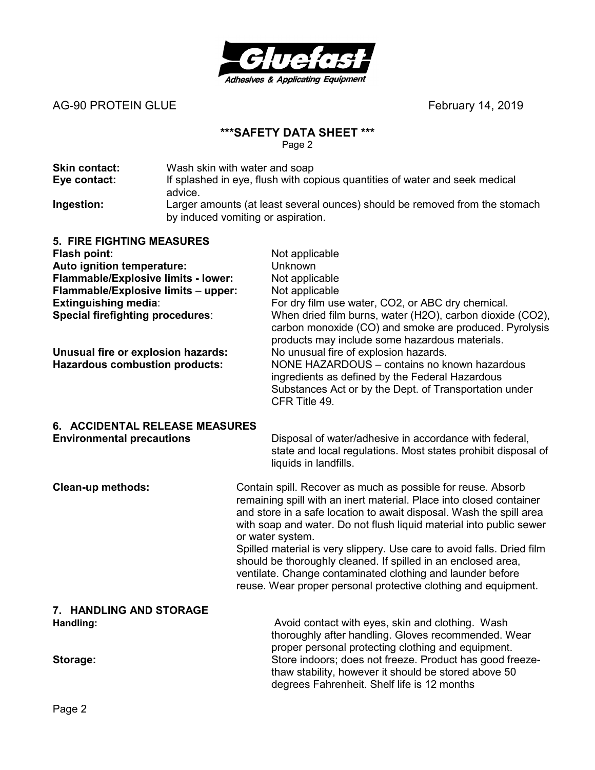

AG-90 PROTEIN GLUE<br>
February 14, 2019

# **\*\*\*SAFETY DATA SHEET \*\*\***

| <b>Skin contact:</b> | Wash skin with water and soap                                                                                     |
|----------------------|-------------------------------------------------------------------------------------------------------------------|
| Eye contact:         | If splashed in eye, flush with copious quantities of water and seek medical<br>advice.                            |
| Ingestion:           | Larger amounts (at least several ounces) should be removed from the stomach<br>by induced vomiting or aspiration. |

| <b>5. FIRE FIGHTING MEASURES</b><br><b>Flash point:</b><br>Auto ignition temperature:<br>Flammable/Explosive limits - lower:<br>Flammable/Explosive limits - upper:<br>Extinguishing media:<br><b>Special firefighting procedures:</b><br>Unusual fire or explosion hazards:<br><b>Hazardous combustion products:</b> |                                                                                                                                                                                                                                                                                                                                                                                                                                                                                                                                                                                  | Not applicable<br>Unknown<br>Not applicable<br>Not applicable<br>For dry film use water, CO2, or ABC dry chemical.<br>When dried film burns, water (H2O), carbon dioxide (CO2),<br>carbon monoxide (CO) and smoke are produced. Pyrolysis<br>products may include some hazardous materials.<br>No unusual fire of explosion hazards.<br>NONE HAZARDOUS - contains no known hazardous<br>ingredients as defined by the Federal Hazardous<br>Substances Act or by the Dept. of Transportation under<br>CFR Title 49. |  |
|-----------------------------------------------------------------------------------------------------------------------------------------------------------------------------------------------------------------------------------------------------------------------------------------------------------------------|----------------------------------------------------------------------------------------------------------------------------------------------------------------------------------------------------------------------------------------------------------------------------------------------------------------------------------------------------------------------------------------------------------------------------------------------------------------------------------------------------------------------------------------------------------------------------------|--------------------------------------------------------------------------------------------------------------------------------------------------------------------------------------------------------------------------------------------------------------------------------------------------------------------------------------------------------------------------------------------------------------------------------------------------------------------------------------------------------------------|--|
| 6. ACCIDENTAL RELEASE MEASURES<br><b>Environmental precautions</b>                                                                                                                                                                                                                                                    |                                                                                                                                                                                                                                                                                                                                                                                                                                                                                                                                                                                  | Disposal of water/adhesive in accordance with federal,<br>state and local regulations. Most states prohibit disposal of<br>liquids in landfills.                                                                                                                                                                                                                                                                                                                                                                   |  |
| Clean-up methods:                                                                                                                                                                                                                                                                                                     | Contain spill. Recover as much as possible for reuse. Absorb<br>remaining spill with an inert material. Place into closed container<br>and store in a safe location to await disposal. Wash the spill area<br>with soap and water. Do not flush liquid material into public sewer<br>or water system.<br>Spilled material is very slippery. Use care to avoid falls. Dried film<br>should be thoroughly cleaned. If spilled in an enclosed area,<br>ventilate. Change contaminated clothing and launder before<br>reuse. Wear proper personal protective clothing and equipment. |                                                                                                                                                                                                                                                                                                                                                                                                                                                                                                                    |  |
| 7. HANDLING AND STORAGE<br>Handling:<br>Storage:                                                                                                                                                                                                                                                                      |                                                                                                                                                                                                                                                                                                                                                                                                                                                                                                                                                                                  | Avoid contact with eyes, skin and clothing. Wash<br>thoroughly after handling. Gloves recommended. Wear<br>proper personal protecting clothing and equipment.<br>Store indoors; does not freeze. Product has good freeze-<br>thaw stability, however it should be stored above 50<br>degrees Fahrenheit. Shelf life is 12 months                                                                                                                                                                                   |  |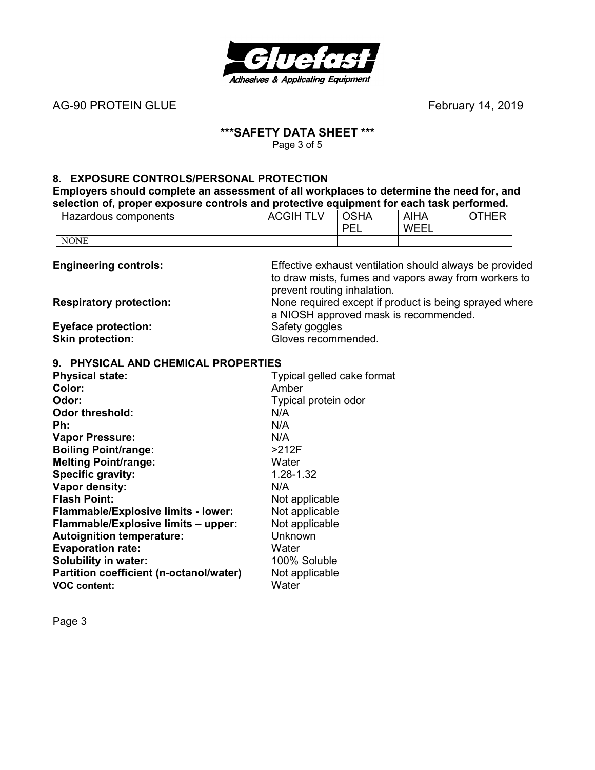

AG-90 PROTEIN GLUE<br>
February 14, 2019

# **\*\*\*SAFETY DATA SHEET \*\*\***

Page 3 of 5

## **8. EXPOSURE CONTROLS/PERSONAL PROTECTION**

**Employers should complete an assessment of all workplaces to determine the need for, and selection of, proper exposure controls and protective equipment for each task performed.** 

| Hazardous components | <b>ACGIH TLV</b> | <b>OSHA</b><br>DE<br>__ | <b>AIHA</b><br><b>WFFI</b> | <b>THER</b><br>ີ |
|----------------------|------------------|-------------------------|----------------------------|------------------|
| <b>NONE</b>          |                  |                         |                            |                  |

| <b>Engineering controls:</b>   | Effective exhaust ventilation should always be provided |
|--------------------------------|---------------------------------------------------------|
|                                | to draw mists, fumes and vapors away from workers to    |
|                                | prevent routing inhalation.                             |
| <b>Respiratory protection:</b> | None required except if product is being sprayed where  |
|                                | a NIOSH approved mask is recommended.                   |
| <b>Eyeface protection:</b>     | Safety goggles                                          |
| <b>Skin protection:</b>        | Gloves recommended.                                     |

#### **9. PHYSICAL AND CHEMICAL PROPERTIES**

| <b>Physical state:</b>                     | Typical gelled cake format |
|--------------------------------------------|----------------------------|
| Color:                                     | Amber                      |
| Odor:                                      | Typical protein odor       |
| <b>Odor threshold:</b>                     | N/A                        |
| Ph:                                        | N/A                        |
| <b>Vapor Pressure:</b>                     | N/A                        |
| <b>Boiling Point/range:</b>                | >212F                      |
| <b>Melting Point/range:</b>                | Water                      |
| Specific gravity:                          | 1.28-1.32                  |
| Vapor density:                             | N/A                        |
| <b>Flash Point:</b>                        | Not applicable             |
| <b>Flammable/Explosive limits - lower:</b> | Not applicable             |
| Flammable/Explosive limits - upper:        | Not applicable             |
| <b>Autoignition temperature:</b>           | Unknown                    |
| <b>Evaporation rate:</b>                   | Water                      |
| Solubility in water:                       | 100% Soluble               |
| Partition coefficient (n-octanol/water)    | Not applicable             |
| <b>VOC content:</b>                        | Water                      |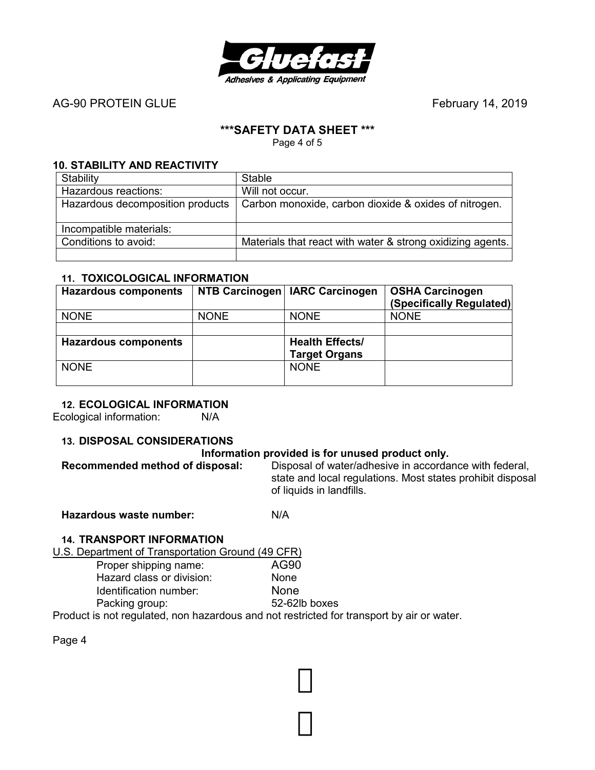

AG-90 PROTEIN GLUE **AG-90 PROTEIN** GLUE

# **\*\*\*SAFETY DATA SHEET \*\*\***

Page 4 of 5

### **10. STABILITY AND REACTIVITY**

| Stability                        | <b>Stable</b>                                              |
|----------------------------------|------------------------------------------------------------|
| Hazardous reactions:             | Will not occur.                                            |
| Hazardous decomposition products | Carbon monoxide, carbon dioxide & oxides of nitrogen.      |
| Incompatible materials:          |                                                            |
| Conditions to avoid:             | Materials that react with water & strong oxidizing agents. |
|                                  |                                                            |

### **11. TOXICOLOGICAL INFORMATION**

| <b>Hazardous components</b> |             | NTB Carcinogen   IARC Carcinogen | <b>OSHA Carcinogen</b><br>(Specifically Regulated) |
|-----------------------------|-------------|----------------------------------|----------------------------------------------------|
| <b>NONE</b>                 | <b>NONE</b> | <b>NONE</b>                      | <b>NONE</b>                                        |
|                             |             |                                  |                                                    |
| <b>Hazardous components</b> |             | <b>Health Effects/</b>           |                                                    |
|                             |             | <b>Target Organs</b>             |                                                    |
| <b>NONE</b>                 |             | <b>NONE</b>                      |                                                    |
|                             |             |                                  |                                                    |

### **12. ECOLOGICAL INFORMATION**

Ecological information: N/A

### **13. DISPOSAL CONSIDERATIONS**

**Information provided is for unused product only.**<br>Recommended method of disposal: Disposal of water/adhesive in accorda Disposal of water/adhesive in accordance with federal, state and local regulations. Most states prohibit disposal of liquids in landfills.

**Hazardous waste number:** N/A

# **14. TRANSPORT INFORMATION**

U.S. Department of Transportation Ground (49 CFR)

| 52-62lb boxes |
|---------------|
|               |

Product is not regulated, non hazardous and not restricted for transport by air or water.